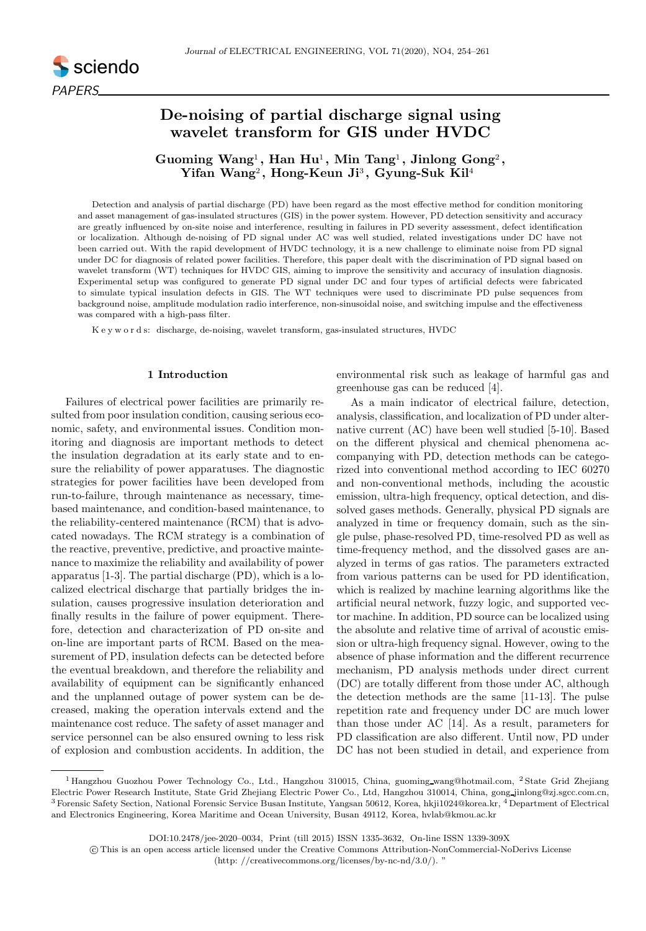

# De-noising of partial discharge signal using wavelet transform for GIS under HVDC

Guoming Wang<sup>1</sup>, Han Hu<sup>1</sup>, Min Tang<sup>1</sup>, Jinlong Gong<sup>2</sup>, Yifan Wang<sup>2</sup>, Hong-Keun Ji<sup>3</sup>, Gyung-Suk Kil<sup>4</sup>

Detection and analysis of partial discharge (PD) have been regard as the most effective method for condition monitoring and asset management of gas-insulated structures (GIS) in the power system. However, PD detection sensitivity and accuracy are greatly influenced by on-site noise and interference, resulting in failures in PD severity assessment, defect identification or localization. Although de-noising of PD signal under AC was well studied, related investigations under DC have not been carried out. With the rapid development of HVDC technology, it is a new challenge to eliminate noise from PD signal under DC for diagnosis of related power facilities. Therefore, this paper dealt with the discrimination of PD signal based on wavelet transform (WT) techniques for HVDC GIS, aiming to improve the sensitivity and accuracy of insulation diagnosis. Experimental setup was configured to generate PD signal under DC and four types of artificial defects were fabricated to simulate typical insulation defects in GIS. The WT techniques were used to discriminate PD pulse sequences from background noise, amplitude modulation radio interference, non-sinusoidal noise, and switching impulse and the effectiveness was compared with a high-pass filter.

K e y w o r d s: discharge, de-noising, wavelet transform, gas-insulated structures, HVDC

# 1 Introduction

Failures of electrical power facilities are primarily resulted from poor insulation condition, causing serious economic, safety, and environmental issues. Condition monitoring and diagnosis are important methods to detect the insulation degradation at its early state and to ensure the reliability of power apparatuses. The diagnostic strategies for power facilities have been developed from run-to-failure, through maintenance as necessary, timebased maintenance, and condition-based maintenance, to the reliability-centered maintenance (RCM) that is advocated nowadays. The RCM strategy is a combination of the reactive, preventive, predictive, and proactive maintenance to maximize the reliability and availability of power apparatus [1-3]. The partial discharge (PD), which is a localized electrical discharge that partially bridges the insulation, causes progressive insulation deterioration and finally results in the failure of power equipment. Therefore, detection and characterization of PD on-site and on-line are important parts of RCM. Based on the measurement of PD, insulation defects can be detected before the eventual breakdown, and therefore the reliability and availability of equipment can be significantly enhanced and the unplanned outage of power system can be decreased, making the operation intervals extend and the maintenance cost reduce. The safety of asset manager and service personnel can be also ensured owning to less risk of explosion and combustion accidents. In addition, the environmental risk such as leakage of harmful gas and greenhouse gas can be reduced [4].

As a main indicator of electrical failure, detection, analysis, classification, and localization of PD under alternative current (AC) have been well studied [5-10]. Based on the different physical and chemical phenomena accompanying with PD, detection methods can be categorized into conventional method according to IEC 60270 and non-conventional methods, including the acoustic emission, ultra-high frequency, optical detection, and dissolved gases methods. Generally, physical PD signals are analyzed in time or frequency domain, such as the single pulse, phase-resolved PD, time-resolved PD as well as time-frequency method, and the dissolved gases are analyzed in terms of gas ratios. The parameters extracted from various patterns can be used for PD identification, which is realized by machine learning algorithms like the artificial neural network, fuzzy logic, and supported vector machine. In addition, PD source can be localized using the absolute and relative time of arrival of acoustic emission or ultra-high frequency signal. However, owing to the absence of phase information and the different recurrence mechanism, PD analysis methods under direct current (DC) are totally different from those under AC, although the detection methods are the same [11-13]. The pulse repetition rate and frequency under DC are much lower than those under AC [14]. As a result, parameters for PD classification are also different. Until now, PD under DC has not been studied in detail, and experience from

<sup>&</sup>lt;sup>1</sup> Hangzhou Guozhou Power Technology Co., Ltd., Hangzhou 310015, China, guoming wang@hotmail.com, <sup>2</sup> State Grid Zhejiang Electric Power Research Institute, State Grid Zhejiang Electric Power Co., Ltd, Hangzhou 310014, China, gong jinlong@zj.sgcc.com.cn, <sup>3</sup> Forensic Safety Section, National Forensic Service Busan Institute, Yangsan 50612, Korea, hkji1024@korea.kr, <sup>4</sup> Department of Electrical and Electronics Engineering, Korea Maritime and Ocean University, Busan 49112, Korea, hvlab@kmou.ac.kr

DOI:10.2478/jee-2020–0034, Print (till 2015) ISSN 1335-3632, On-line ISSN 1339-309X

c This is an open access article licensed under the Creative Commons Attribution-NonCommercial-NoDerivs License

<sup>(</sup>http: //creativecommons.org/licenses/by-nc-nd/3.0/). "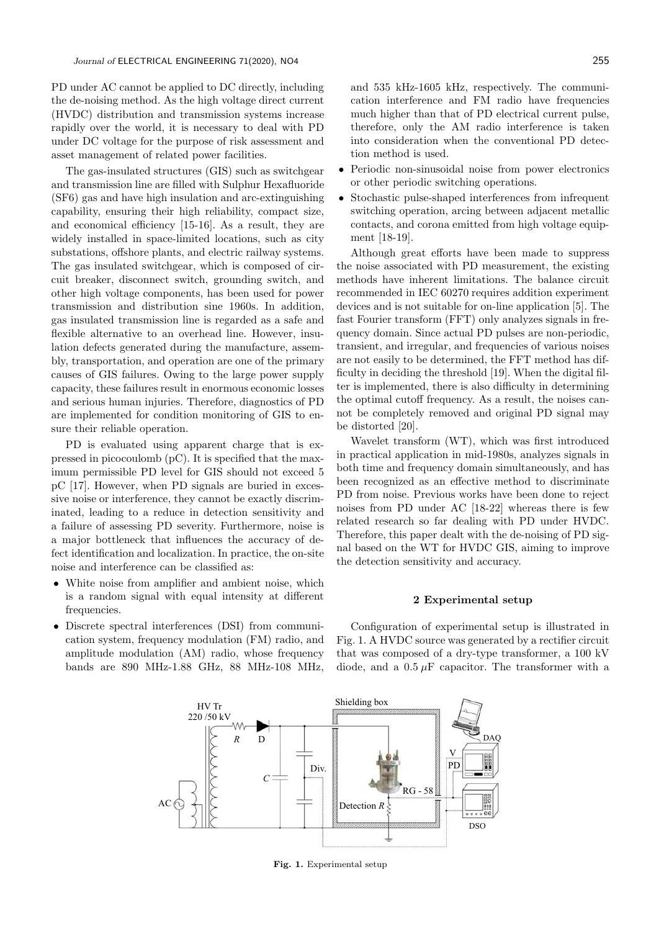PD under AC cannot be applied to DC directly, including the de-noising method. As the high voltage direct current (HVDC) distribution and transmission systems increase rapidly over the world, it is necessary to deal with PD under DC voltage for the purpose of risk assessment and asset management of related power facilities.

The gas-insulated structures (GIS) such as switchgear and transmission line are filled with Sulphur Hexafluoride (SF6) gas and have high insulation and arc-extinguishing capability, ensuring their high reliability, compact size, and economical efficiency [15-16]. As a result, they are widely installed in space-limited locations, such as city substations, offshore plants, and electric railway systems. The gas insulated switchgear, which is composed of circuit breaker, disconnect switch, grounding switch, and other high voltage components, has been used for power transmission and distribution sine 1960s. In addition, gas insulated transmission line is regarded as a safe and flexible alternative to an overhead line. However, insulation defects generated during the manufacture, assembly, transportation, and operation are one of the primary causes of GIS failures. Owing to the large power supply capacity, these failures result in enormous economic losses and serious human injuries. Therefore, diagnostics of PD are implemented for condition monitoring of GIS to ensure their reliable operation.

PD is evaluated using apparent charge that is expressed in picocoulomb (pC). It is specified that the maximum permissible PD level for GIS should not exceed 5 pC [17]. However, when PD signals are buried in excessive noise or interference, they cannot be exactly discriminated, leading to a reduce in detection sensitivity and a failure of assessing PD severity. Furthermore, noise is a major bottleneck that influences the accuracy of defect identification and localization. In practice, the on-site noise and interference can be classified as:

- White noise from amplifier and ambient noise, which is a random signal with equal intensity at different frequencies.
- Discrete spectral interferences (DSI) from communication system, frequency modulation (FM) radio, and amplitude modulation (AM) radio, whose frequency bands are 890 MHz-1.88 GHz, 88 MHz-108 MHz,

and 535 kHz-1605 kHz, respectively. The communication interference and FM radio have frequencies much higher than that of PD electrical current pulse, therefore, only the AM radio interference is taken into consideration when the conventional PD detection method is used.

- Periodic non-sinusoidal noise from power electronics or other periodic switching operations.
- Stochastic pulse-shaped interferences from infrequent switching operation, arcing between adjacent metallic contacts, and corona emitted from high voltage equipment [18-19].

Although great efforts have been made to suppress the noise associated with PD measurement, the existing methods have inherent limitations. The balance circuit recommended in IEC 60270 requires addition experiment devices and is not suitable for on-line application [5]. The fast Fourier transform (FFT) only analyzes signals in frequency domain. Since actual PD pulses are non-periodic, transient, and irregular, and frequencies of various noises are not easily to be determined, the FFT method has difficulty in deciding the threshold [19]. When the digital filter is implemented, there is also difficulty in determining the optimal cutoff frequency. As a result, the noises cannot be completely removed and original PD signal may be distorted [20].

Wavelet transform (WT), which was first introduced in practical application in mid-1980s, analyzes signals in both time and frequency domain simultaneously, and has been recognized as an effective method to discriminate PD from noise. Previous works have been done to reject noises from PD under AC [18-22] whereas there is few related research so far dealing with PD under HVDC. Therefore, this paper dealt with the de-noising of PD signal based on the WT for HVDC GIS, aiming to improve the detection sensitivity and accuracy.

## 2 Experimental setup

Configuration of experimental setup is illustrated in Fig. 1. A HVDC source was generated by a rectifier circuit that was composed of a dry-type transformer, a 100 kV diode, and a  $0.5 \mu$ F capacitor. The transformer with a



Fig. 1. Experimental setup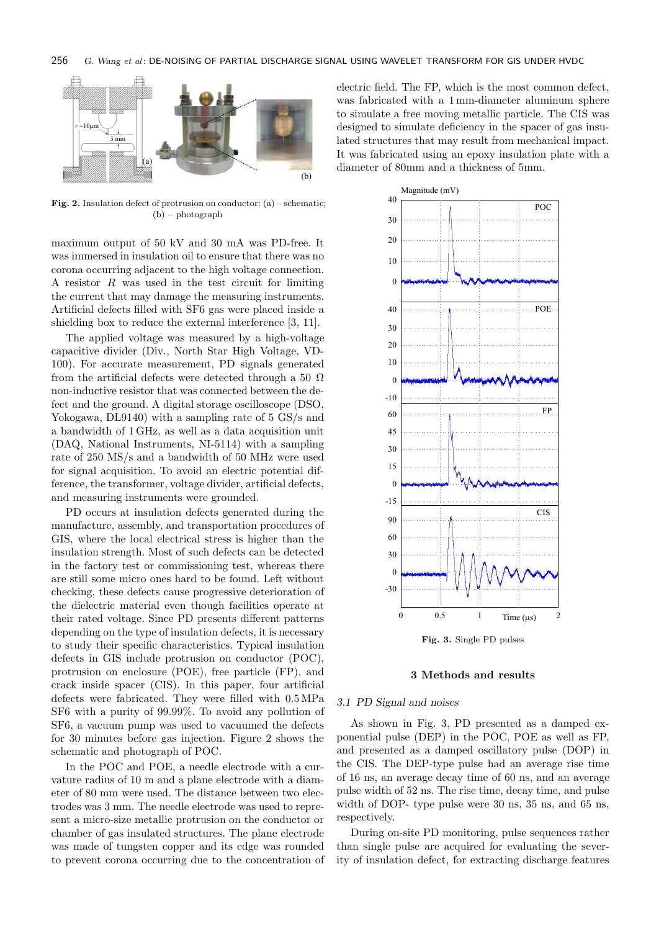

**Fig. 2.** Insulation defect of protrusion on conductor:  $(a)$  – schematic; (b) – photograph

maximum output of 50 kV and 30 mA was PD-free. It was immersed in insulation oil to ensure that there was no corona occurring adjacent to the high voltage connection. A resistor R was used in the test circuit for limiting the current that may damage the measuring instruments. Artificial defects filled with SF6 gas were placed inside a shielding box to reduce the external interference [3, 11].

The applied voltage was measured by a high-voltage capacitive divider (Div., North Star High Voltage, VD-100). For accurate measurement, PD signals generated from the artificial defects were detected through a 50  $\Omega$ non-inductive resistor that was connected between the defect and the ground. A digital storage oscilloscope (DSO, Yokogawa, DL9140) with a sampling rate of 5 GS/s and a bandwidth of 1 GHz, as well as a data acquisition unit (DAQ, National Instruments, NI-5114) with a sampling rate of 250 MS/s and a bandwidth of 50 MHz were used for signal acquisition. To avoid an electric potential difference, the transformer, voltage divider, artificial defects, and measuring instruments were grounded.

PD occurs at insulation defects generated during the manufacture, assembly, and transportation procedures of GIS, where the local electrical stress is higher than the insulation strength. Most of such defects can be detected in the factory test or commissioning test, whereas there are still some micro ones hard to be found. Left without checking, these defects cause progressive deterioration of the dielectric material even though facilities operate at their rated voltage. Since PD presents different patterns depending on the type of insulation defects, it is necessary to study their specific characteristics. Typical insulation defects in GIS include protrusion on conductor (POC), protrusion on enclosure (POE), free particle (FP), and crack inside spacer (CIS). In this paper, four artificial defects were fabricated. They were filled with 0.5 MPa SF6 with a purity of 99.99%. To avoid any pollution of SF6, a vacuum pump was used to vacuumed the defects for 30 minutes before gas injection. Figure 2 shows the schematic and photograph of POC.

In the POC and POE, a needle electrode with a curvature radius of 10 m and a plane electrode with a diameter of 80 mm were used. The distance between two electrodes was 3 mm. The needle electrode was used to represent a micro-size metallic protrusion on the conductor or chamber of gas insulated structures. The plane electrode was made of tungsten copper and its edge was rounded to prevent corona occurring due to the concentration of electric field. The FP, which is the most common defect, was fabricated with a 1 mm-diameter aluminum sphere to simulate a free moving metallic particle. The CIS was designed to simulate deficiency in the spacer of gas insulated structures that may result from mechanical impact. It was fabricated using an epoxy insulation plate with a diameter of 80mm and a thickness of 5mm.



Fig. 3. Single PD pulses

### 3 Methods and results

### 3.1 PD Signal and noises

As shown in Fig. 3, PD presented as a damped exponential pulse (DEP) in the POC, POE as well as FP, and presented as a damped oscillatory pulse (DOP) in the CIS. The DEP-type pulse had an average rise time of 16 ns, an average decay time of 60 ns, and an average pulse width of 52 ns. The rise time, decay time, and pulse width of DOP- type pulse were 30 ns, 35 ns, and 65 ns, respectively.

During on-site PD monitoring, pulse sequences rather than single pulse are acquired for evaluating the severity of insulation defect, for extracting discharge features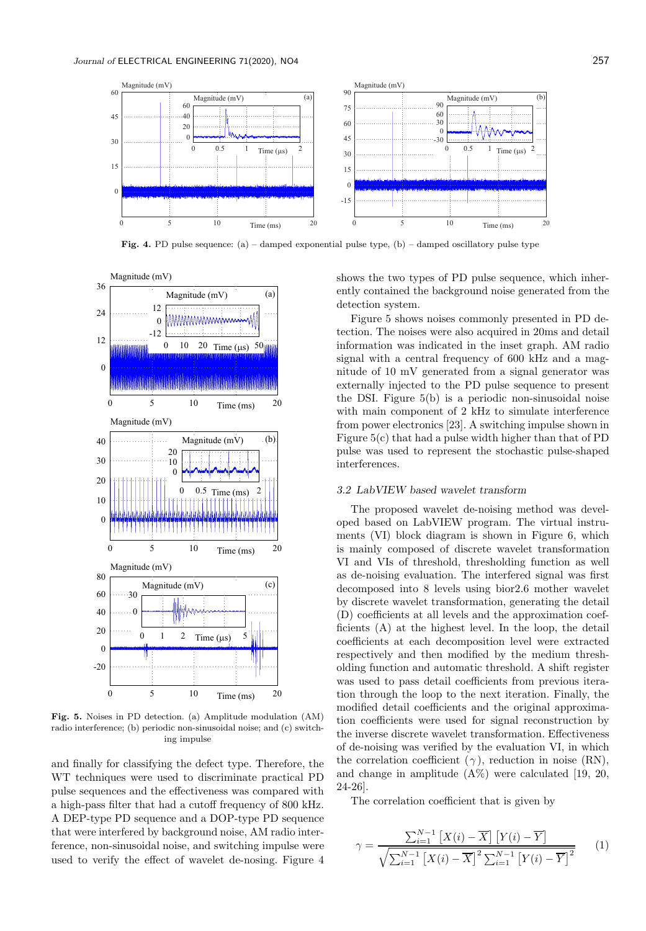

**Fig. 4.** PD pulse sequence: (a) – damped exponential pulse type, (b) – damped oscillatory pulse type



Fig. 5. Noises in PD detection. (a) Amplitude modulation (AM) radio interference; (b) periodic non-sinusoidal noise; and (c) switching impulse

and finally for classifying the defect type. Therefore, the WT techniques were used to discriminate practical PD pulse sequences and the effectiveness was compared with a high-pass filter that had a cutoff frequency of 800 kHz. A DEP-type PD sequence and a DOP-type PD sequence that were interfered by background noise, AM radio interference, non-sinusoidal noise, and switching impulse were used to verify the effect of wavelet de-nosing. Figure 4 shows the two types of PD pulse sequence, which inherently contained the background noise generated from the detection system.

Figure 5 shows noises commonly presented in PD detection. The noises were also acquired in 20ms and detail information was indicated in the inset graph. AM radio signal with a central frequency of 600 kHz and a magnitude of 10 mV generated from a signal generator was externally injected to the PD pulse sequence to present the DSI. Figure 5(b) is a periodic non-sinusoidal noise with main component of 2 kHz to simulate interference from power electronics [23]. A switching impulse shown in Figure 5(c) that had a pulse width higher than that of PD pulse was used to represent the stochastic pulse-shaped interferences.

### 3.2 LabVIEW based wavelet transform

The proposed wavelet de-noising method was developed based on LabVIEW program. The virtual instruments (VI) block diagram is shown in Figure 6, which is mainly composed of discrete wavelet transformation VI and VIs of threshold, thresholding function as well as de-noising evaluation. The interfered signal was first decomposed into 8 levels using bior2.6 mother wavelet by discrete wavelet transformation, generating the detail (D) coefficients at all levels and the approximation coefficients (A) at the highest level. In the loop, the detail coefficients at each decomposition level were extracted respectively and then modified by the medium thresholding function and automatic threshold. A shift register was used to pass detail coefficients from previous iteration through the loop to the next iteration. Finally, the modified detail coefficients and the original approximation coefficients were used for signal reconstruction by the inverse discrete wavelet transformation. Effectiveness of de-noising was verified by the evaluation VI, in which the correlation coefficient  $(\gamma)$ , reduction in noise (RN), and change in amplitude  $(A\%)$  were calculated [19, 20, 24-26].

The correlation coefficient that is given by

$$
\gamma = \frac{\sum_{i=1}^{N-1} [X(i) - \overline{X}] [Y(i) - \overline{Y}]}{\sqrt{\sum_{i=1}^{N-1} [X(i) - \overline{X}]^2 \sum_{i=1}^{N-1} [Y(i) - \overline{Y}]^2}}
$$
(1)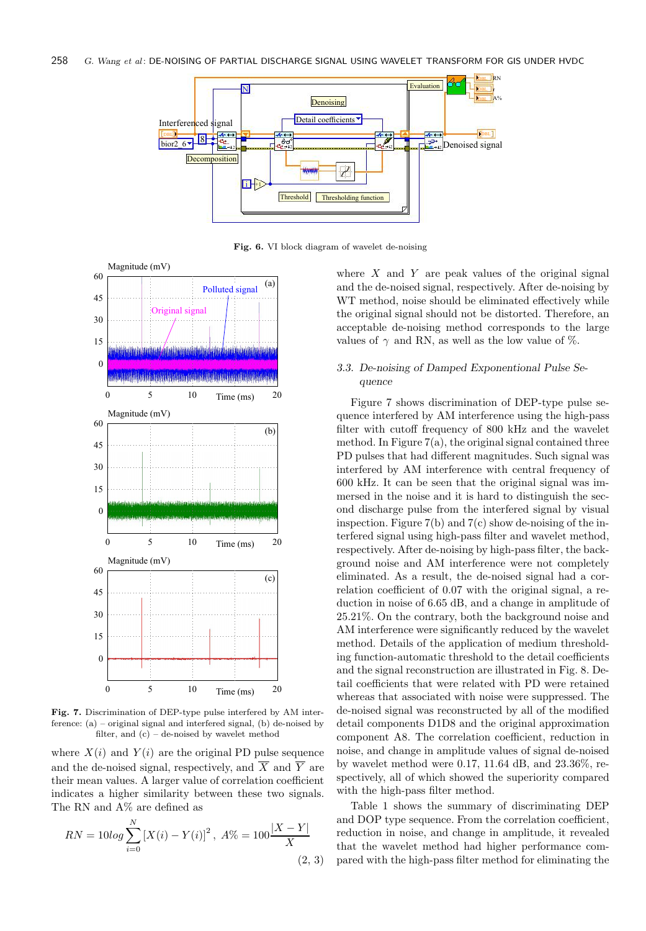

Fig. 6. VI block diagram of wavelet de-noising



Fig. 7. Discrimination of DEP-type pulse interfered by AM interference: (a) – original signal and interfered signal, (b) de-noised by filter, and  $(c)$  – de-noised by wavelet method

where  $X(i)$  and  $Y(i)$  are the original PD pulse sequence and the de-noised signal, respectively, and  $\overline{X}$  and  $\overline{Y}$  are their mean values. A larger value of correlation coefficient indicates a higher similarity between these two signals. The RN and A% are defined as

$$
RN = 10\log \sum_{i=0}^{N} \left[ X(i) - Y(i) \right]^2, \ A\% = 100 \frac{|X - Y|}{X}
$$
\n
$$
(2, 3)
$$

where  $X$  and  $Y$  are peak values of the original signal and the de-noised signal, respectively. After de-noising by WT method, noise should be eliminated effectively while the original signal should not be distorted. Therefore, an acceptable de-noising method corresponds to the large values of  $\gamma$  and RN, as well as the low value of %.

# 3.3. De-noising of Damped Exponentional Pulse Sequence

Figure 7 shows discrimination of DEP-type pulse sequence interfered by AM interference using the high-pass filter with cutoff frequency of 800 kHz and the wavelet method. In Figure  $7(a)$ , the original signal contained three PD pulses that had different magnitudes. Such signal was interfered by AM interference with central frequency of 600 kHz. It can be seen that the original signal was immersed in the noise and it is hard to distinguish the second discharge pulse from the interfered signal by visual inspection. Figure  $7(b)$  and  $7(c)$  show de-noising of the interfered signal using high-pass filter and wavelet method, respectively. After de-noising by high-pass filter, the background noise and AM interference were not completely eliminated. As a result, the de-noised signal had a correlation coefficient of 0.07 with the original signal, a reduction in noise of 6.65 dB, and a change in amplitude of 25.21%. On the contrary, both the background noise and AM interference were significantly reduced by the wavelet method. Details of the application of medium thresholding function-automatic threshold to the detail coefficients and the signal reconstruction are illustrated in Fig. 8. Detail coefficients that were related with PD were retained whereas that associated with noise were suppressed. The de-noised signal was reconstructed by all of the modified detail components D1D8 and the original approximation component A8. The correlation coefficient, reduction in noise, and change in amplitude values of signal de-noised by wavelet method were 0.17, 11.64 dB, and 23.36%, respectively, all of which showed the superiority compared with the high-pass filter method.

Table 1 shows the summary of discriminating DEP and DOP type sequence. From the correlation coefficient, reduction in noise, and change in amplitude, it revealed that the wavelet method had higher performance compared with the high-pass filter method for eliminating the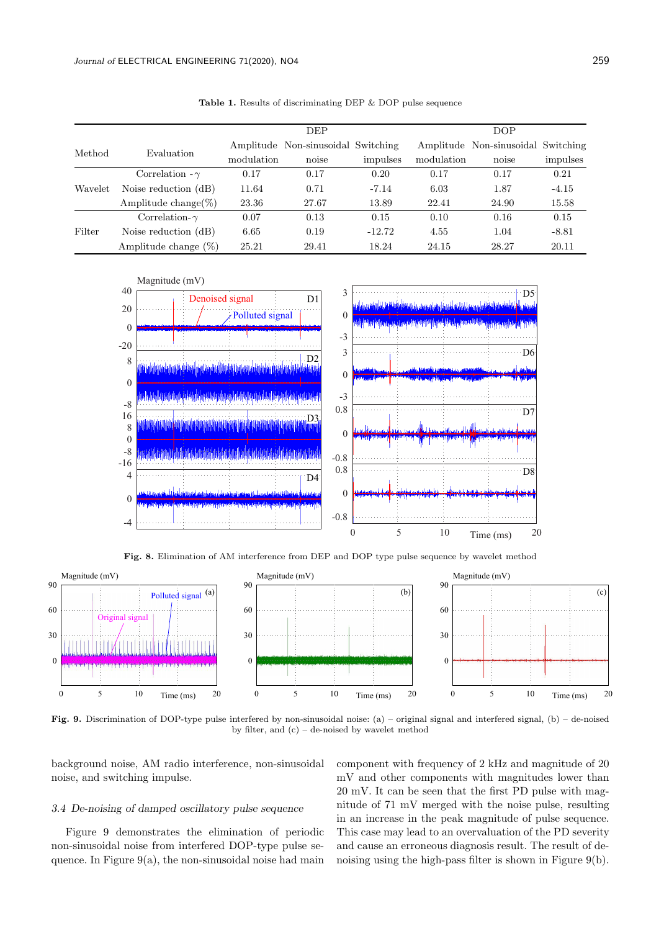|         |                         |            | <b>DEP</b>                         |          |            | DOP                                |          |
|---------|-------------------------|------------|------------------------------------|----------|------------|------------------------------------|----------|
| Method  | Evaluation              |            | Amplitude Non-sinusoidal Switching |          |            | Amplitude Non-sinusoidal Switching |          |
|         |                         | modulation | noise                              | impulses | modulation | noise                              | impulses |
| Wavelet | Correlation $-\gamma$   | 0.17       | 0.17                               | 0.20     | 0.17       | 0.17                               | 0.21     |
|         | Noise reduction (dB)    | 11.64      | 0.71                               | $-7.14$  | 6.03       | 1.87                               | $-4.15$  |
|         | Amplitude change( $\%)$ | 23.36      | 27.67                              | 13.89    | 22.41      | 24.90                              | 15.58    |
| Filter  | Correlation- $\gamma$   | 0.07       | 0.13                               | 0.15     | 0.10       | 0.16                               | 0.15     |
|         | Noise reduction $(dB)$  | 6.65       | 0.19                               | $-12.72$ | 4.55       | 1.04                               | $-8.81$  |
|         | Amplitude change $(\%)$ | 25.21      | 29.41                              | 18.24    | 24.15      | 28.27                              | 20.11    |

Table 1. Results of discriminating DEP & DOP pulse sequence



Fig. 8. Elimination of AM interference from DEP and DOP type pulse sequence by wavelet method



Fig. 9. Discrimination of DOP-type pulse interfered by non-sinusoidal noise: (a) – original signal and interfered signal, (b) – de-noised by filter, and (c) – de-noised by wavelet method

background noise, AM radio interference, non-sinusoidal noise, and switching impulse.

### 3.4 De-noising of damped oscillatory pulse sequence

Figure 9 demonstrates the elimination of periodic non-sinusoidal noise from interfered DOP-type pulse sequence. In Figure  $9(a)$ , the non-sinusoidal noise had main component with frequency of 2 kHz and magnitude of 20 mV and other components with magnitudes lower than 20 mV. It can be seen that the first PD pulse with magnitude of 71 mV merged with the noise pulse, resulting in an increase in the peak magnitude of pulse sequence. This case may lead to an overvaluation of the PD severity and cause an erroneous diagnosis result. The result of denoising using the high-pass filter is shown in Figure 9(b).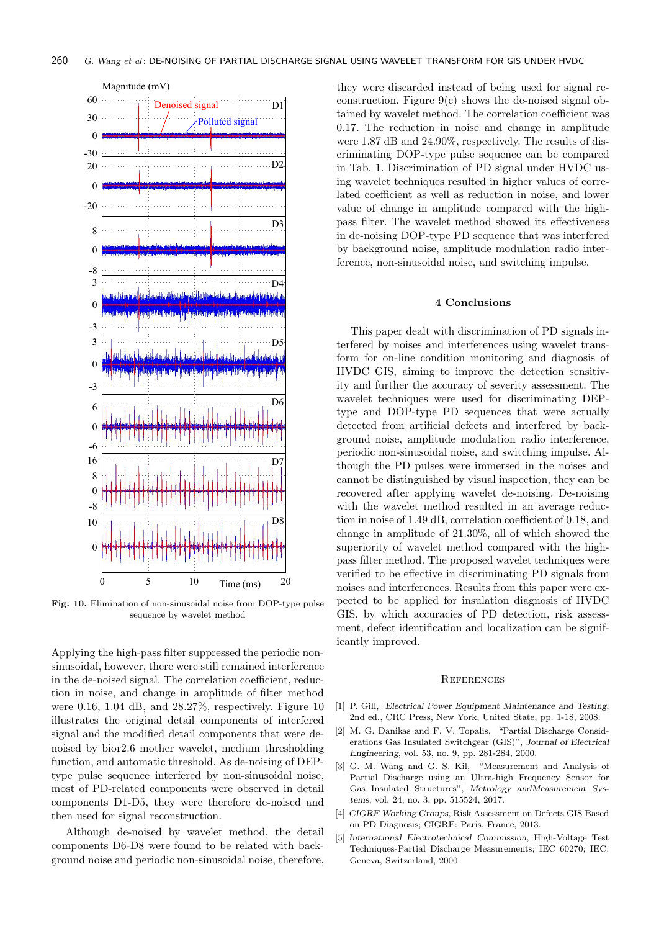

Fig. 10. Elimination of non-sinusoidal noise from DOP-type pulse sequence by wavelet method

Applying the high-pass filter suppressed the periodic nonsinusoidal, however, there were still remained interference in the de-noised signal. The correlation coefficient, reduction in noise, and change in amplitude of filter method were 0.16, 1.04 dB, and 28.27%, respectively. Figure 10 illustrates the original detail components of interfered signal and the modified detail components that were denoised by bior2.6 mother wavelet, medium thresholding function, and automatic threshold. As de-noising of DEPtype pulse sequence interfered by non-sinusoidal noise, most of PD-related components were observed in detail components D1-D5, they were therefore de-noised and then used for signal reconstruction.

Although de-noised by wavelet method, the detail components D6-D8 were found to be related with background noise and periodic non-sinusoidal noise, therefore,

they were discarded instead of being used for signal reconstruction. Figure  $9(c)$  shows the de-noised signal obtained by wavelet method. The correlation coefficient was 0.17. The reduction in noise and change in amplitude were 1.87 dB and 24.90%, respectively. The results of discriminating DOP-type pulse sequence can be compared in Tab. 1. Discrimination of PD signal under HVDC using wavelet techniques resulted in higher values of correlated coefficient as well as reduction in noise, and lower value of change in amplitude compared with the highpass filter. The wavelet method showed its effectiveness in de-noising DOP-type PD sequence that was interfered by background noise, amplitude modulation radio interference, non-sinusoidal noise, and switching impulse.

#### 4 Conclusions

This paper dealt with discrimination of PD signals interfered by noises and interferences using wavelet transform for on-line condition monitoring and diagnosis of HVDC GIS, aiming to improve the detection sensitivity and further the accuracy of severity assessment. The wavelet techniques were used for discriminating DEPtype and DOP-type PD sequences that were actually detected from artificial defects and interfered by background noise, amplitude modulation radio interference, periodic non-sinusoidal noise, and switching impulse. Although the PD pulses were immersed in the noises and cannot be distinguished by visual inspection, they can be recovered after applying wavelet de-noising. De-noising with the wavelet method resulted in an average reduction in noise of 1.49 dB, correlation coefficient of 0.18, and change in amplitude of 21.30%, all of which showed the superiority of wavelet method compared with the highpass filter method. The proposed wavelet techniques were verified to be effective in discriminating PD signals from noises and interferences. Results from this paper were expected to be applied for insulation diagnosis of HVDC GIS, by which accuracies of PD detection, risk assessment, defect identification and localization can be significantly improved.

#### **REFERENCES**

- [1] P. Gill, Electrical Power Equipment Maintenance and Testing, 2nd ed., CRC Press, New York, United State, pp. 1-18, 2008.
- [2] M. G. Danikas and F. V. Topalis, "Partial Discharge Considerations Gas Insulated Switchgear (GIS)", Journal of Electrical Engineering, vol. 53, no. 9, pp. 281-284, 2000.
- [3] G. M. Wang and G. S. Kil, "Measurement and Analysis of Partial Discharge using an Ultra-high Frequency Sensor for Gas Insulated Structures", Metrology andMeasurement Systems, vol. 24, no. 3, pp. 515524, 2017.
- [4] CIGRE Working Groups, Risk Assessment on Defects GIS Based on PD Diagnosis; CIGRE: Paris, France, 2013.
- [5] International Electrotechnical Commission, High-Voltage Test Techniques-Partial Discharge Measurements; IEC 60270; IEC: Geneva, Switzerland, 2000.